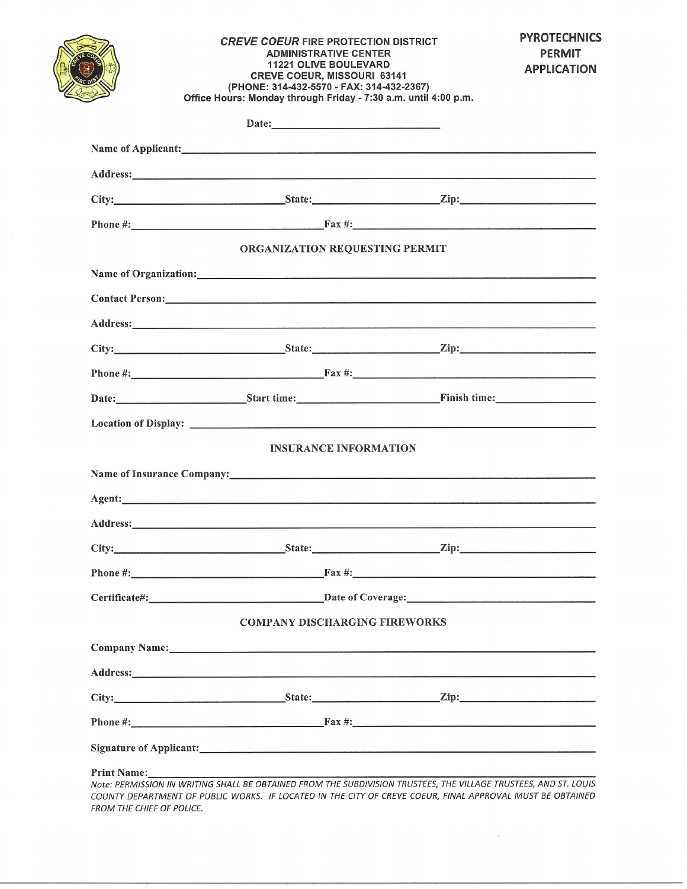|                    | <b>CREVE COEUR FIRE PROTECTION DISTRICT</b><br><b>ADMINISTRATIVE CENTER</b><br><b>11221 OLIVE BOULEVARD</b><br><b>CREVE COEUR, MISSOURI 63141</b><br>(PHONE: 314-432-5570 - FAX: 314-432-2367)<br>Office Hours: Monday through Friday - 7:30 a.m. until 4:00 p.m.                                                       |  | <b>PYROTECHNICS</b><br><b>PERMIT</b><br><b>APPLICATION</b> |
|--------------------|-------------------------------------------------------------------------------------------------------------------------------------------------------------------------------------------------------------------------------------------------------------------------------------------------------------------------|--|------------------------------------------------------------|
|                    | Date:                                                                                                                                                                                                                                                                                                                   |  |                                                            |
|                    | Name of Applicant:<br><u>Name of Applicant</u>                                                                                                                                                                                                                                                                          |  |                                                            |
|                    |                                                                                                                                                                                                                                                                                                                         |  |                                                            |
|                    |                                                                                                                                                                                                                                                                                                                         |  |                                                            |
|                    |                                                                                                                                                                                                                                                                                                                         |  |                                                            |
|                    | ORGANIZATION REQUESTING PERMIT                                                                                                                                                                                                                                                                                          |  |                                                            |
|                    |                                                                                                                                                                                                                                                                                                                         |  |                                                            |
|                    |                                                                                                                                                                                                                                                                                                                         |  |                                                            |
|                    |                                                                                                                                                                                                                                                                                                                         |  |                                                            |
|                    |                                                                                                                                                                                                                                                                                                                         |  |                                                            |
|                    |                                                                                                                                                                                                                                                                                                                         |  |                                                            |
|                    |                                                                                                                                                                                                                                                                                                                         |  |                                                            |
|                    |                                                                                                                                                                                                                                                                                                                         |  |                                                            |
|                    | <b>INSURANCE INFORMATION</b>                                                                                                                                                                                                                                                                                            |  |                                                            |
|                    | Name of Insurance Company: 1988 and 2008 and 2008 and 2008 and 2008 and 2008 and 2008 and 2008 and 2008 and 20                                                                                                                                                                                                          |  |                                                            |
|                    |                                                                                                                                                                                                                                                                                                                         |  |                                                            |
|                    |                                                                                                                                                                                                                                                                                                                         |  |                                                            |
|                    |                                                                                                                                                                                                                                                                                                                         |  |                                                            |
|                    |                                                                                                                                                                                                                                                                                                                         |  |                                                            |
|                    |                                                                                                                                                                                                                                                                                                                         |  |                                                            |
|                    | <b>COMPANY DISCHARGING FIREWORKS</b>                                                                                                                                                                                                                                                                                    |  |                                                            |
|                    |                                                                                                                                                                                                                                                                                                                         |  |                                                            |
|                    |                                                                                                                                                                                                                                                                                                                         |  |                                                            |
|                    |                                                                                                                                                                                                                                                                                                                         |  |                                                            |
|                    | Phone $\#\mathbb{R}$ : Fax $\#\mathbb{R}$ : Fax $\#\mathbb{R}$ : Fax $\#\mathbb{R}$ : Fax $\#\mathbb{R}$ : Fax $\#\mathbb{R}$ : Fax $\#\mathbb{R}$ : Fax $\#\mathbb{R}$ : Fax $\#\mathbb{R}$ : Fax $\#\mathbb{R}$ : Fax $\#\mathbb{R}$ : Fax $\#\mathbb{R}$ : Fax $\#\mathbb{R}$ : Fax $\#\mathbb{R}$ : Fax $\#\mathbb$ |  |                                                            |
|                    |                                                                                                                                                                                                                                                                                                                         |  |                                                            |
| <b>Print Name:</b> |                                                                                                                                                                                                                                                                                                                         |  |                                                            |

FROM THE CHIEF OF POLICE.